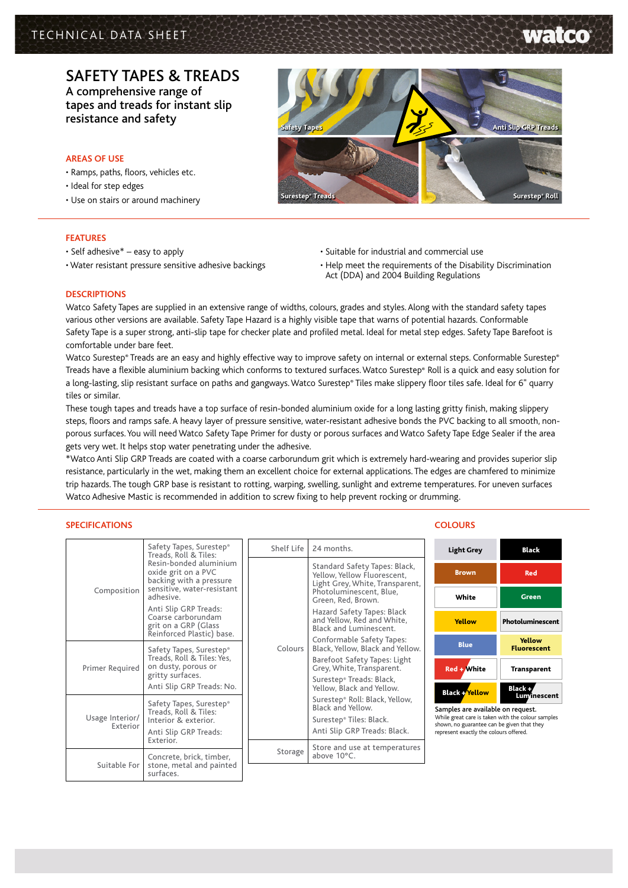# Safety Tapes & treads A comprehensive range of

tapes and treads for instant slip resistance and safety

# **AREAS OF USE**

- Ramps, paths, floors, vehicles etc.
- Ideal for step edges
- Use on stairs or around machinery

## **FEATURES**

- Self adhesive\* easy to apply
- Water resistant pressure sensitive adhesive backings
- Suitable for industrial and commercial use
- Help meet the requirements of the Disability Discrimination Act (DDA) and 2004 Building Regulations

#### **DESCRIPTIONS**

Watco Safety Tapes are supplied in an extensive range of widths, colours, grades and styles. Along with the standard safety tapes various other versions are available. Safety Tape Hazard is a highly visible tape that warns of potential hazards. Conformable Safety Tape is a super strong, anti-slip tape for checker plate and profiled metal. Ideal for metal step edges. Safety Tape Barefoot is comfortable under bare feet.

Watco Surestep® Treads are an easy and highly effective way to improve safety on internal or external steps. Conformable Surestep® Treads have a flexible aluminium backing which conforms to textured surfaces. Watco Surestep® Roll is a quick and easy solution for a long-lasting, slip resistant surface on paths and gangways. Watco Surestep® Tiles make slippery floor tiles safe. Ideal for 6" quarry tiles or similar.

These tough tapes and treads have a top surface of resin-bonded aluminium oxide for a long lasting gritty finish, making slippery steps, floors and ramps safe. A heavy layer of pressure sensitive, water-resistant adhesive bonds the PVC backing to all smooth, nonporous surfaces. You will need Watco Safety Tape Primer for dusty or porous surfaces and Watco Safety Tape Edge Sealer if the area gets very wet. It helps stop water penetrating under the adhesive.

\*Watco Anti Slip GRP Treads are coated with a coarse carborundum grit which is extremely hard-wearing and provides superior slip resistance, particularly in the wet, making them an excellent choice for external applications. The edges are chamfered to minimize trip hazards. The tough GRP base is resistant to rotting, warping, swelling, sunlight and extreme temperatures. For uneven surfaces Watco Adhesive Mastic is recommended in addition to screw fixing to help prevent rocking or drumming.

# **Specifications**

| Composition                 | Safety Tapes, Surestep®<br>Treads, Roll & Tiles:<br>Resin-bonded aluminium<br>oxide grit on a PVC<br>backing with a pressure<br>sensitive, water-resistant<br>adhesive. | Shelf Life | 24 months.                                                                                                                                       | Ligh                     |
|-----------------------------|-------------------------------------------------------------------------------------------------------------------------------------------------------------------------|------------|--------------------------------------------------------------------------------------------------------------------------------------------------|--------------------------|
|                             |                                                                                                                                                                         |            | Standard Safety Tapes: Black,<br>Yellow, Yellow Fluorescent,<br>Light Grey, White, Transparent,<br>Photoluminescent, Blue,<br>Green, Red, Brown. | <b>Br</b>                |
|                             |                                                                                                                                                                         |            |                                                                                                                                                  | W                        |
|                             | Anti Slip GRP Treads:<br>Coarse carborundam<br>grit on a GRP (Glass                                                                                                     |            | Hazard Safety Tapes: Black<br>and Yellow, Red and White,<br><b>Black and Luminescent.</b>                                                        | Ye                       |
| Primer Required             | Reinforced Plastic) base.<br>Safety Tapes, Surestep®<br>Treads, Roll & Tiles: Yes,<br>on dusty, porous or<br>gritty surfaces.<br>Anti Slip GRP Treads: No.              | Colours    | Conformable Safety Tapes:<br>Black, Yellow, Black and Yellow.                                                                                    | в                        |
|                             |                                                                                                                                                                         |            | Barefoot Safety Tapes: Light<br>Grey, White, Transparent.                                                                                        | Red +                    |
|                             |                                                                                                                                                                         |            | Surestep® Treads: Black,<br>Yellow, Black and Yellow.                                                                                            | <b>Black</b>             |
| Usage Interior/<br>Exterior | Safety Tapes, Surestep®<br>Treads, Roll & Tiles:<br>Interior & exterior.<br>Anti Slip GRP Treads:<br>Exterior.                                                          |            | Surestep® Roll: Black, Yellow,<br>Black and Yellow.                                                                                              | Samples                  |
|                             |                                                                                                                                                                         |            | Surestep <sup>®</sup> Tiles: Black.                                                                                                              | While grea               |
|                             |                                                                                                                                                                         |            | Anti Slip GRP Treads: Black.                                                                                                                     | shown, no<br>represent e |
|                             |                                                                                                                                                                         | Storage    | Store and use at temperatures<br>above 10°C.                                                                                                     |                          |
| Suitable For                | Concrete, brick, timber,<br>stone, metal and painted<br>surfaces.                                                                                                       |            |                                                                                                                                                  |                          |
|                             |                                                                                                                                                                         |            |                                                                                                                                                  |                          |

## **COLOURS**

| <b>Light Grey</b>     | <b>Black</b>                   |
|-----------------------|--------------------------------|
| <b>Brown</b>          | Red                            |
| White                 | Green                          |
| <b>Yellow</b>         | Photoluminescent               |
| <b>Blue</b>           | Yellow<br><b>Fluorescent</b>   |
| Red + White           | <b>Transparent</b>             |
| <b>Black +</b> Yellow | Black +<br><b>Lum</b> inescent |

are available on request. It care is taken with the colour samples shown, no guarantee can be given that they represent exactly the colours offered.